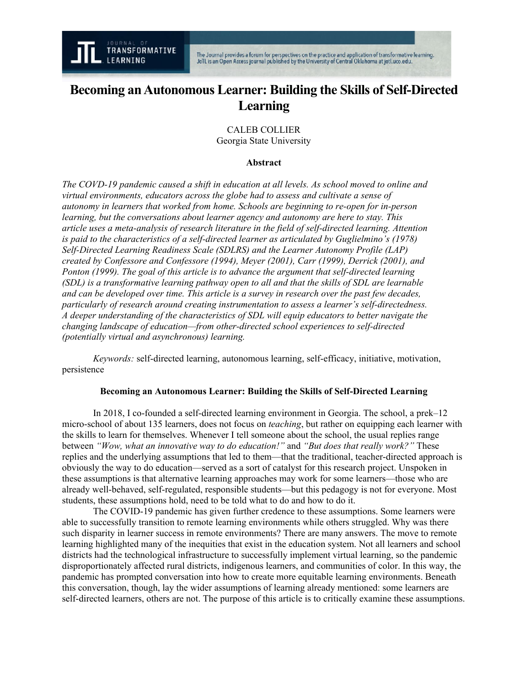# **Becoming an Autonomous Learner: Building the Skills of Self-Directed Learning**

CALEB COLLIER Georgia State University

#### **Abstract**

*The COVD-19 pandemic caused a shift in education at all levels. As school moved to online and virtual environments, educators across the globe had to assess and cultivate a sense of autonomy in learners that worked from home. Schools are beginning to re-open for in-person learning, but the conversations about learner agency and autonomy are here to stay. This article uses a meta-analysis of research literature in the field of self-directed learning. Attention is paid to the characteristics of a self-directed learner as articulated by Guglielmino's (1978) Self-Directed Learning Readiness Scale (SDLRS) and the Learner Autonomy Profile (LAP) created by Confessore and Confessore (1994), Meyer (2001), Carr (1999), Derrick (2001), and Ponton (1999). The goal of this article is to advance the argument that self-directed learning (SDL) is a transformative learning pathway open to all and that the skills of SDL are learnable and can be developed over time. This article is a survey in research over the past few decades, particularly of research around creating instrumentation to assess a learner's self-directedness. A deeper understanding of the characteristics of SDL will equip educators to better navigate the changing landscape of education—from other-directed school experiences to self-directed (potentially virtual and asynchronous) learning.*

*Keywords:* self-directed learning, autonomous learning, self-efficacy, initiative, motivation, persistence

#### **Becoming an Autonomous Learner: Building the Skills of Self-Directed Learning**

In 2018, I co-founded a self-directed learning environment in Georgia. The school, a prek–12 micro-school of about 135 learners, does not focus on *teaching*, but rather on equipping each learner with the skills to learn for themselves. Whenever I tell someone about the school, the usual replies range between *"Wow, what an innovative way to do education!"* and *"But does that really work?"* These replies and the underlying assumptions that led to them—that the traditional, teacher-directed approach is obviously the way to do education—served as a sort of catalyst for this research project. Unspoken in these assumptions is that alternative learning approaches may work for some learners—those who are already well-behaved, self-regulated, responsible students—but this pedagogy is not for everyone. Most students, these assumptions hold, need to be told what to do and how to do it.

The COVID-19 pandemic has given further credence to these assumptions. Some learners were able to successfully transition to remote learning environments while others struggled. Why was there such disparity in learner success in remote environments? There are many answers. The move to remote learning highlighted many of the inequities that exist in the education system. Not all learners and school districts had the technological infrastructure to successfully implement virtual learning, so the pandemic disproportionately affected rural districts, indigenous learners, and communities of color. In this way, the pandemic has prompted conversation into how to create more equitable learning environments. Beneath this conversation, though, lay the wider assumptions of learning already mentioned: some learners are self-directed learners, others are not. The purpose of this article is to critically examine these assumptions.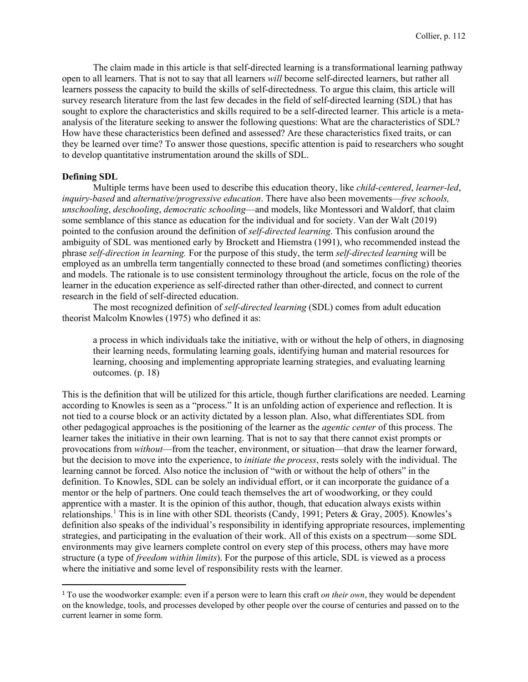The claim made in this article is that self-directed learning is a transformational learning pathway open to all learners. That is not to say that all learners *will* become self-directed learners, but rather all learners possess the capacity to build the skills of self-directedness. To argue this claim, this article will survey research literature from the last few decades in the field of self-directed learning (SDL) that has sought to explore the characteristics and skills required to be a self-directed learner. This article is a metaanalysis of the literature seeking to answer the following questions: What are the characteristics of SDL? How have these characteristics been defined and assessed? Are these characteristics fixed traits, or can they be learned over time? To answer those questions, specific attention is paid to researchers who sought to develop quantitative instrumentation around the skills of SDL.

## **Defining SDL**

Multiple terms have been used to describe this education theory, like *child-centered*, *learner-led*, *inquiry-based* and *alternative/progressive education*. There have also been movements—*free schools, unschooling*, *deschooling*, *democratic schooling*—and models, like Montessori and Waldorf, that claim some semblance of this stance as education for the individual and for society. Van der Walt (2019) pointed to the confusion around the definition of *self-directed learning*. This confusion around the ambiguity of SDL was mentioned early by Brockett and Hiemstra (1991), who recommended instead the phrase *self-direction in learning.* For the purpose of this study, the term *self-directed learning* will be employed as an umbrella term tangentially connected to these broad (and sometimes conflicting) theories and models. The rationale is to use consistent terminology throughout the article, focus on the role of the learner in the education experience as self-directed rather than other-directed, and connect to current research in the field of self-directed education.

The most recognized definition of *self-directed learning* (SDL) comes from adult education theorist Malcolm Knowles (1975) who defined it as:

a process in which individuals take the initiative, with or without the help of others, in diagnosing their learning needs, formulating learning goals, identifying human and material resources for learning, choosing and implementing appropriate learning strategies, and evaluating learning outcomes. (p. 18)

This is the definition that will be utilized for this article, though further clarifications are needed. Learning according to Knowles is seen as a "process." It is an unfolding action of experience and reflection. It is not tied to a course block or an activity dictated by a lesson plan. Also, what differentiates SDL from other pedagogical approaches is the positioning of the learner as the *agentic center* of this process. The learner takes the initiative in their own learning. That is not to say that there cannot exist prompts or provocations from *without*—from the teacher, environment, or situation—that draw the learner forward, but the decision to move into the experience, to *initiate the process*, rests solely with the individual. The learning cannot be forced. Also notice the inclusion of "with or without the help of others" in the definition. To Knowles, SDL can be solely an individual effort, or it can incorporate the guidance of a mentor or the help of partners. One could teach themselves the art of woodworking, or they could apprentice with a master. It is the opinion of this author, though, that education always exists within relationships.<sup>[1](#page-1-0)</sup> This is in line with other SDL theorists (Candy, 1991; Peters & Gray, 2005). Knowles's definition also speaks of the individual's responsibility in identifying appropriate resources, implementing strategies, and participating in the evaluation of their work. All of this exists on a spectrum—some SDL environments may give learners complete control on every step of this process, others may have more structure (a type of *freedom within limits*). For the purpose of this article, SDL is viewed as a process where the initiative and some level of responsibility rests with the learner.

<span id="page-1-0"></span><sup>1</sup> To use the woodworker example: even if a person were to learn this craft *on their own*, they would be dependent on the knowledge, tools, and processes developed by other people over the course of centuries and passed on to the current learner in some form.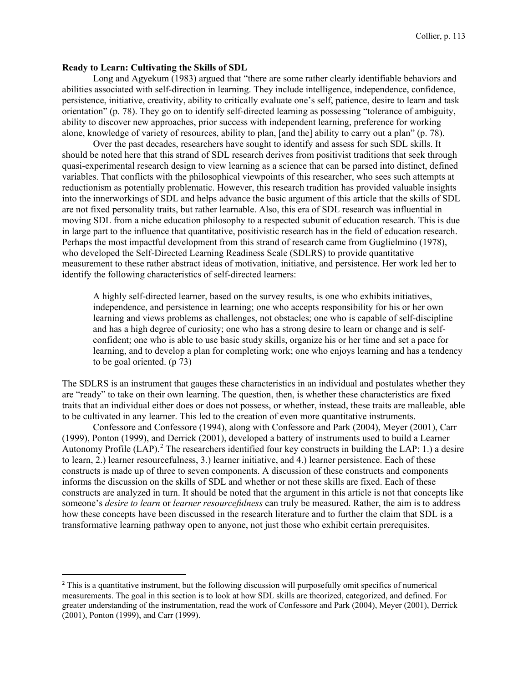## **Ready to Learn: Cultivating the Skills of SDL**

Long and Agyekum (1983) argued that "there are some rather clearly identifiable behaviors and abilities associated with self-direction in learning. They include intelligence, independence, confidence, persistence, initiative, creativity, ability to critically evaluate one's self, patience, desire to learn and task orientation" (p. 78). They go on to identify self-directed learning as possessing "tolerance of ambiguity, ability to discover new approaches, prior success with independent learning, preference for working alone, knowledge of variety of resources, ability to plan, [and the] ability to carry out a plan" (p. 78).

Over the past decades, researchers have sought to identify and assess for such SDL skills. It should be noted here that this strand of SDL research derives from positivist traditions that seek through quasi-experimental research design to view learning as a science that can be parsed into distinct, defined variables. That conflicts with the philosophical viewpoints of this researcher, who sees such attempts at reductionism as potentially problematic. However, this research tradition has provided valuable insights into the innerworkings of SDL and helps advance the basic argument of this article that the skills of SDL are not fixed personality traits, but rather learnable. Also, this era of SDL research was influential in moving SDL from a niche education philosophy to a respected subunit of education research. This is due in large part to the influence that quantitative, positivistic research has in the field of education research. Perhaps the most impactful development from this strand of research came from Guglielmino (1978), who developed the Self-Directed Learning Readiness Scale (SDLRS) to provide quantitative measurement to these rather abstract ideas of motivation, initiative, and persistence. Her work led her to identify the following characteristics of self-directed learners:

A highly self-directed learner, based on the survey results, is one who exhibits initiatives, independence, and persistence in learning; one who accepts responsibility for his or her own learning and views problems as challenges, not obstacles; one who is capable of self-discipline and has a high degree of curiosity; one who has a strong desire to learn or change and is selfconfident; one who is able to use basic study skills, organize his or her time and set a pace for learning, and to develop a plan for completing work; one who enjoys learning and has a tendency to be goal oriented. (p 73)

The SDLRS is an instrument that gauges these characteristics in an individual and postulates whether they are "ready" to take on their own learning. The question, then, is whether these characteristics are fixed traits that an individual either does or does not possess, or whether, instead, these traits are malleable, able to be cultivated in any learner. This led to the creation of even more quantitative instruments.

Confessore and Confessore (1994), along with Confessore and Park (2004), Meyer (2001), Carr (1999), Ponton (1999), and Derrick (2001), developed a battery of instruments used to build a Learner Autonomy Profile  $(LAP)$ .<sup>[2](#page-2-0)</sup> The researchers identified four key constructs in building the LAP: 1.) a desire to learn, 2.) learner resourcefulness, 3.) learner initiative, and 4.) learner persistence. Each of these constructs is made up of three to seven components. A discussion of these constructs and components informs the discussion on the skills of SDL and whether or not these skills are fixed. Each of these constructs are analyzed in turn. It should be noted that the argument in this article is not that concepts like someone's *desire to learn* or *learner resourcefulness* can truly be measured. Rather, the aim is to address how these concepts have been discussed in the research literature and to further the claim that SDL is a transformative learning pathway open to anyone, not just those who exhibit certain prerequisites.

<span id="page-2-0"></span><sup>&</sup>lt;sup>2</sup> This is a quantitative instrument, but the following discussion will purposefully omit specifics of numerical measurements. The goal in this section is to look at how SDL skills are theorized, categorized, and defined. For greater understanding of the instrumentation, read the work of Confessore and Park (2004), Meyer (2001), Derrick (2001), Ponton (1999), and Carr (1999).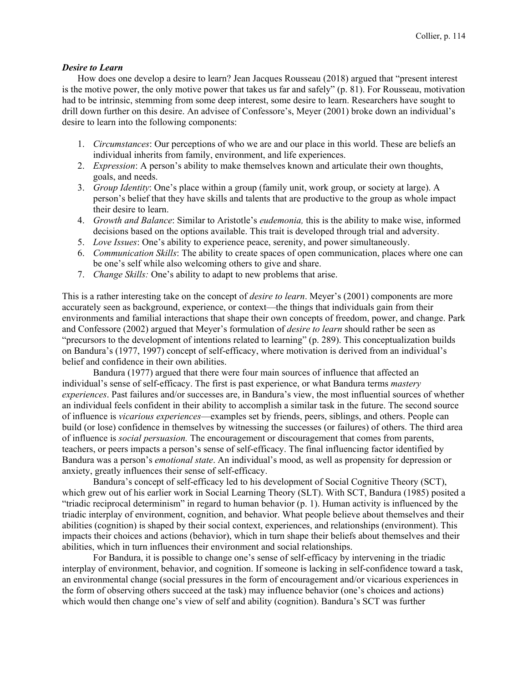#### *Desire to Learn*

How does one develop a desire to learn? Jean Jacques Rousseau (2018) argued that "present interest is the motive power, the only motive power that takes us far and safely" (p. 81). For Rousseau, motivation had to be intrinsic, stemming from some deep interest, some desire to learn. Researchers have sought to drill down further on this desire. An advisee of Confessore's, Meyer (2001) broke down an individual's desire to learn into the following components:

- 1. *Circumstances*: Our perceptions of who we are and our place in this world. These are beliefs an individual inherits from family, environment, and life experiences.
- 2. *Expression*: A person's ability to make themselves known and articulate their own thoughts, goals, and needs.
- 3. *Group Identity*: One's place within a group (family unit, work group, or society at large). A person's belief that they have skills and talents that are productive to the group as whole impact their desire to learn.
- 4. *Growth and Balance*: Similar to Aristotle's *eudemonia,* this is the ability to make wise, informed decisions based on the options available. This trait is developed through trial and adversity.
- 5. *Love Issues*: One's ability to experience peace, serenity, and power simultaneously.
- 6. *Communication Skills*: The ability to create spaces of open communication, places where one can be one's self while also welcoming others to give and share.
- 7. *Change Skills:* One's ability to adapt to new problems that arise.

This is a rather interesting take on the concept of *desire to learn*. Meyer's (2001) components are more accurately seen as background, experience, or context—the things that individuals gain from their environments and familial interactions that shape their own concepts of freedom, power, and change. Park and Confessore (2002) argued that Meyer's formulation of *desire to learn* should rather be seen as "precursors to the development of intentions related to learning" (p. 289). This conceptualization builds on Bandura's (1977, 1997) concept of self-efficacy, where motivation is derived from an individual's belief and confidence in their own abilities.

Bandura (1977) argued that there were four main sources of influence that affected an individual's sense of self-efficacy. The first is past experience, or what Bandura terms *mastery experiences*. Past failures and/or successes are, in Bandura's view, the most influential sources of whether an individual feels confident in their ability to accomplish a similar task in the future. The second source of influence is *vicarious experiences*—examples set by friends, peers, siblings, and others. People can build (or lose) confidence in themselves by witnessing the successes (or failures) of others. The third area of influence is *social persuasion.* The encouragement or discouragement that comes from parents, teachers, or peers impacts a person's sense of self-efficacy. The final influencing factor identified by Bandura was a person's *emotional state*. An individual's mood, as well as propensity for depression or anxiety, greatly influences their sense of self-efficacy.

Bandura's concept of self-efficacy led to his development of Social Cognitive Theory (SCT), which grew out of his earlier work in Social Learning Theory (SLT). With SCT, Bandura (1985) posited a "triadic reciprocal determinism" in regard to human behavior (p. 1). Human activity is influenced by the triadic interplay of environment, cognition, and behavior. What people believe about themselves and their abilities (cognition) is shaped by their social context, experiences, and relationships (environment). This impacts their choices and actions (behavior), which in turn shape their beliefs about themselves and their abilities, which in turn influences their environment and social relationships.

For Bandura, it is possible to change one's sense of self-efficacy by intervening in the triadic interplay of environment, behavior, and cognition. If someone is lacking in self-confidence toward a task, an environmental change (social pressures in the form of encouragement and/or vicarious experiences in the form of observing others succeed at the task) may influence behavior (one's choices and actions) which would then change one's view of self and ability (cognition). Bandura's SCT was further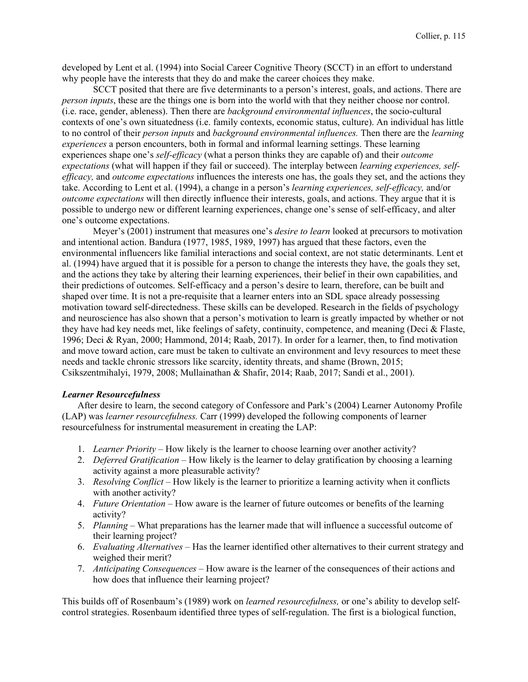developed by Lent et al. (1994) into Social Career Cognitive Theory (SCCT) in an effort to understand why people have the interests that they do and make the career choices they make.

SCCT posited that there are five determinants to a person's interest, goals, and actions. There are *person inputs*, these are the things one is born into the world with that they neither choose nor control. (i.e. race, gender, ableness). Then there are *background environmental influences*, the socio-cultural contexts of one's own situatedness (i.e. family contexts, economic status, culture). An individual has little to no control of their *person inputs* and *background environmental influences.* Then there are the *learning experiences* a person encounters, both in formal and informal learning settings. These learning experiences shape one's *self-efficacy* (what a person thinks they are capable of) and their *outcome expectations* (what will happen if they fail or succeed). The interplay between *learning experiences, selfefficacy,* and *outcome expectations* influences the interests one has, the goals they set, and the actions they take. According to Lent et al. (1994), a change in a person's *learning experiences, self-efficacy,* and/or *outcome expectations* will then directly influence their interests, goals, and actions. They argue that it is possible to undergo new or different learning experiences, change one's sense of self-efficacy, and alter one's outcome expectations.

Meyer's (2001) instrument that measures one's *desire to learn* looked at precursors to motivation and intentional action. Bandura (1977, 1985, 1989, 1997) has argued that these factors, even the environmental influencers like familial interactions and social context, are not static determinants. Lent et al. (1994) have argued that it is possible for a person to change the interests they have, the goals they set, and the actions they take by altering their learning experiences, their belief in their own capabilities, and their predictions of outcomes. Self-efficacy and a person's desire to learn, therefore, can be built and shaped over time. It is not a pre-requisite that a learner enters into an SDL space already possessing motivation toward self-directedness. These skills can be developed. Research in the fields of psychology and neuroscience has also shown that a person's motivation to learn is greatly impacted by whether or not they have had key needs met, like feelings of safety, continuity, competence, and meaning (Deci & Flaste, 1996; Deci & Ryan, 2000; Hammond, 2014; Raab, 2017). In order for a learner, then, to find motivation and move toward action, care must be taken to cultivate an environment and levy resources to meet these needs and tackle chronic stressors like scarcity, identity threats, and shame (Brown, 2015; Csikszentmihalyi, 1979, 2008; Mullainathan & Shafir, 2014; Raab, 2017; Sandi et al., 2001).

#### *Learner Resourcefulness*

After desire to learn, the second category of Confessore and Park's (2004) Learner Autonomy Profile (LAP) was *learner resourcefulness.* Carr (1999) developed the following components of learner resourcefulness for instrumental measurement in creating the LAP:

- 1. *Learner Priority*  How likely is the learner to choose learning over another activity?
- 2. *Deferred Gratification*  How likely is the learner to delay gratification by choosing a learning activity against a more pleasurable activity?
- 3. *Resolving Conflict –* How likely is the learner to prioritize a learning activity when it conflicts with another activity?
- 4. *Future Orientation*  How aware is the learner of future outcomes or benefits of the learning activity?
- 5. *Planning*  What preparations has the learner made that will influence a successful outcome of their learning project?
- 6. *Evaluating Alternatives*  Has the learner identified other alternatives to their current strategy and weighed their merit?
- 7. *Anticipating Consequences*  How aware is the learner of the consequences of their actions and how does that influence their learning project?

This builds off of Rosenbaum's (1989) work on *learned resourcefulness,* or one's ability to develop selfcontrol strategies. Rosenbaum identified three types of self-regulation. The first is a biological function,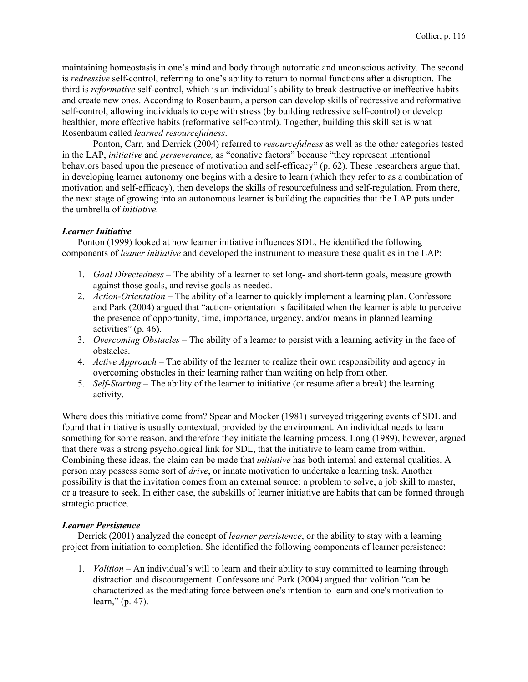maintaining homeostasis in one's mind and body through automatic and unconscious activity. The second is *redressive* self-control, referring to one's ability to return to normal functions after a disruption. The third is *reformative* self-control, which is an individual's ability to break destructive or ineffective habits and create new ones. According to Rosenbaum, a person can develop skills of redressive and reformative self-control, allowing individuals to cope with stress (by building redressive self-control) or develop healthier, more effective habits (reformative self-control). Together, building this skill set is what Rosenbaum called *learned resourcefulness*.

Ponton, Carr, and Derrick (2004) referred to *resourcefulness* as well as the other categories tested in the LAP, *initiative* and *perseverance,* as "conative factors" because "they represent intentional behaviors based upon the presence of motivation and self-efficacy" (p. 62). These researchers argue that, in developing learner autonomy one begins with a desire to learn (which they refer to as a combination of motivation and self-efficacy), then develops the skills of resourcefulness and self-regulation. From there, the next stage of growing into an autonomous learner is building the capacities that the LAP puts under the umbrella of *initiative.*

## *Learner Initiative*

Ponton (1999) looked at how learner initiative influences SDL. He identified the following components of *leaner initiative* and developed the instrument to measure these qualities in the LAP:

- 1. *Goal Directedness* The ability of a learner to set long- and short-term goals, measure growth against those goals, and revise goals as needed.
- 2. *Action-Orientation* The ability of a learner to quickly implement a learning plan. Confessore and Park (2004) argued that "action- orientation is facilitated when the learner is able to perceive the presence of opportunity, time, importance, urgency, and/or means in planned learning activities" (p. 46).
- 3. *Overcoming Obstacles*  The ability of a learner to persist with a learning activity in the face of obstacles.
- 4. *Active Approach* The ability of the learner to realize their own responsibility and agency in overcoming obstacles in their learning rather than waiting on help from other.
- 5. *Self-Starting* The ability of the learner to initiative (or resume after a break) the learning activity.

Where does this initiative come from? Spear and Mocker (1981) surveyed triggering events of SDL and found that initiative is usually contextual, provided by the environment. An individual needs to learn something for some reason, and therefore they initiate the learning process. Long (1989), however, argued that there was a strong psychological link for SDL, that the initiative to learn came from within. Combining these ideas, the claim can be made that *initiative* has both internal and external qualities. A person may possess some sort of *drive*, or innate motivation to undertake a learning task. Another possibility is that the invitation comes from an external source: a problem to solve, a job skill to master, or a treasure to seek. In either case, the subskills of learner initiative are habits that can be formed through strategic practice.

#### *Learner Persistence*

Derrick (2001) analyzed the concept of *learner persistence*, or the ability to stay with a learning project from initiation to completion. She identified the following components of learner persistence:

1. *Volition* – An individual's will to learn and their ability to stay committed to learning through distraction and discouragement. Confessore and Park (2004) argued that volition "can be characterized as the mediating force between one's intention to learn and one's motivation to learn," (p. 47).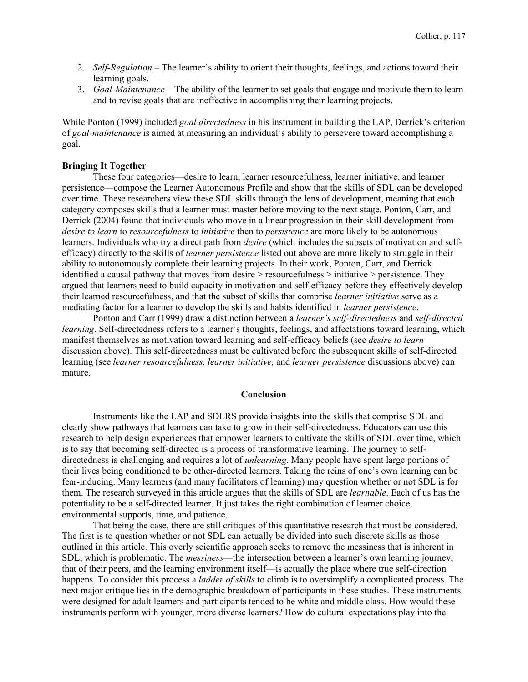- 2. *Self-Regulation*  The learner's ability to orient their thoughts, feelings, and actions toward their learning goals.
- 3. *Goal*-*Maintenance* The ability of the learner to set goals that engage and motivate them to learn and to revise goals that are ineffective in accomplishing their learning projects.

While Ponton (1999) included *goal directedness* in his instrument in building the LAP, Derrick's criterion of *goal-maintenance* is aimed at measuring an individual's ability to persevere toward accomplishing a goal.

## **Bringing It Together**

These four categories—desire to learn, learner resourcefulness, learner initiative, and learner persistence—compose the Learner Autonomous Profile and show that the skills of SDL can be developed over time. These researchers view these SDL skills through the lens of development, meaning that each category composes skills that a learner must master before moving to the next stage. Ponton, Carr, and Derrick (2004) found that individuals who move in a linear progression in their skill development from *desire to learn* to *resourcefulness* to *initiative* then to *persistence* are more likely to be autonomous learners. Individuals who try a direct path from *desire* (which includes the subsets of motivation and selfefficacy) directly to the skills of *learner persistence* listed out above are more likely to struggle in their ability to autonomously complete their learning projects. In their work, Ponton, Carr, and Derrick identified a causal pathway that moves from desire > resourcefulness > initiative > persistence. They argued that learners need to build capacity in motivation and self-efficacy before they effectively develop their learned resourcefulness, and that the subset of skills that comprise *learner initiative* serve as a mediating factor for a learner to develop the skills and habits identified in *learner persistence*.

Ponton and Carr (1999) draw a distinction between a *learner's self-directedness* and *self-directed learning*. Self-directedness refers to a learner's thoughts, feelings, and affectations toward learning, which manifest themselves as motivation toward learning and self-efficacy beliefs (see *desire to learn* discussion above). This self-directedness must be cultivated before the subsequent skills of self-directed learning (see *learner resourcefulness, learner initiative,* and *learner persistence* discussions above) can mature.

#### **Conclusion**

Instruments like the LAP and SDLRS provide insights into the skills that comprise SDL and clearly show pathways that learners can take to grow in their self-directedness. Educators can use this research to help design experiences that empower learners to cultivate the skills of SDL over time, which is to say that becoming self-directed is a process of transformative learning. The journey to selfdirectedness is challenging and requires a lot of *unlearning*. Many people have spent large portions of their lives being conditioned to be other-directed learners. Taking the reins of one's own learning can be fear-inducing. Many learners (and many facilitators of learning) may question whether or not SDL is for them. The research surveyed in this article argues that the skills of SDL are *learnable*. Each of us has the potentiality to be a self-directed learner. It just takes the right combination of learner choice, environmental supports, time, and patience.

That being the case, there are still critiques of this quantitative research that must be considered. The first is to question whether or not SDL can actually be divided into such discrete skills as those outlined in this article. This overly scientific approach seeks to remove the messiness that is inherent in SDL, which is problematic. The *messiness*—the intersection between a learner's own learning journey, that of their peers, and the learning environment itself—is actually the place where true self-direction happens. To consider this process a *ladder of skills* to climb is to oversimplify a complicated process. The next major critique lies in the demographic breakdown of participants in these studies. These instruments were designed for adult learners and participants tended to be white and middle class. How would these instruments perform with younger, more diverse learners? How do cultural expectations play into the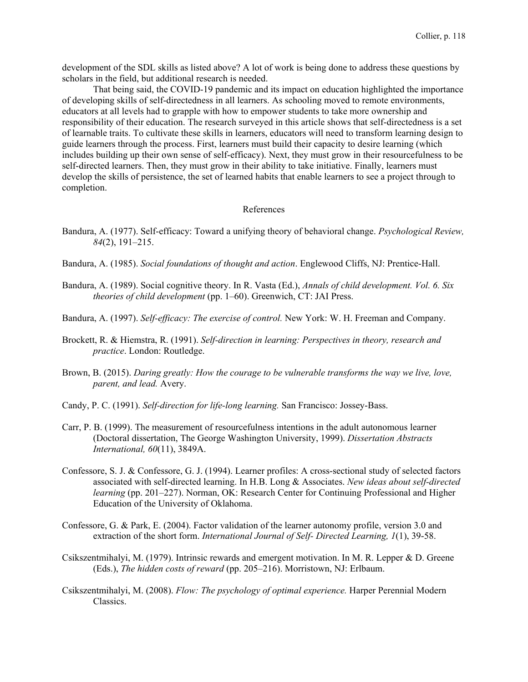development of the SDL skills as listed above? A lot of work is being done to address these questions by scholars in the field, but additional research is needed.

That being said, the COVID-19 pandemic and its impact on education highlighted the importance of developing skills of self-directedness in all learners. As schooling moved to remote environments, educators at all levels had to grapple with how to empower students to take more ownership and responsibility of their education. The research surveyed in this article shows that self-directedness is a set of learnable traits. To cultivate these skills in learners, educators will need to transform learning design to guide learners through the process. First, learners must build their capacity to desire learning (which includes building up their own sense of self-efficacy). Next, they must grow in their resourcefulness to be self-directed learners. Then, they must grow in their ability to take initiative. Finally, learners must develop the skills of persistence, the set of learned habits that enable learners to see a project through to completion.

#### References

- Bandura, A. (1977). Self-efficacy: Toward a unifying theory of behavioral change. *Psychological Review, 84*(2), 191–215.
- Bandura, A. (1985). *Social foundations of thought and action*. Englewood Cliffs, NJ: Prentice-Hall.
- Bandura, A. (1989). Social cognitive theory. In R. Vasta (Ed.), *Annals of child development. Vol. 6. Six theories of child development* (pp. 1–60). Greenwich, CT: JAI Press.
- Bandura, A. (1997). *Self-efficacy: The exercise of control.* New York: W. H. Freeman and Company.
- Brockett, R. & Hiemstra, R. (1991). *Self-direction in learning: Perspectives in theory, research and practice*. London: Routledge.
- Brown, B. (2015). *Daring greatly: How the courage to be vulnerable transforms the way we live, love, parent, and lead.* Avery.
- Candy, P. C. (1991). *Self-direction for life-long learning.* San Francisco: Jossey-Bass.
- Carr, P. B. (1999). The measurement of resourcefulness intentions in the adult autonomous learner (Doctoral dissertation, The George Washington University, 1999). *Dissertation Abstracts International, 60*(11), 3849A.
- Confessore, S. J. & Confessore, G. J. (1994). Learner profiles: A cross-sectional study of selected factors associated with self-directed learning. In H.B. Long & Associates. *New ideas about self-directed learning* (pp. 201–227). Norman, OK: Research Center for Continuing Professional and Higher Education of the University of Oklahoma.
- Confessore, G. & Park, E. (2004). Factor validation of the learner autonomy profile, version 3.0 and extraction of the short form. *International Journal of Self- Directed Learning, 1*(1), 39-58.
- Csikszentmihalyi, M. (1979). Intrinsic rewards and emergent motivation. In M. R. Lepper & D. Greene (Eds.), *The hidden costs of reward* (pp. 205–216). Morristown, NJ: Erlbaum.
- Csikszentmihalyi, M. (2008). *Flow: The psychology of optimal experience.* Harper Perennial Modern Classics.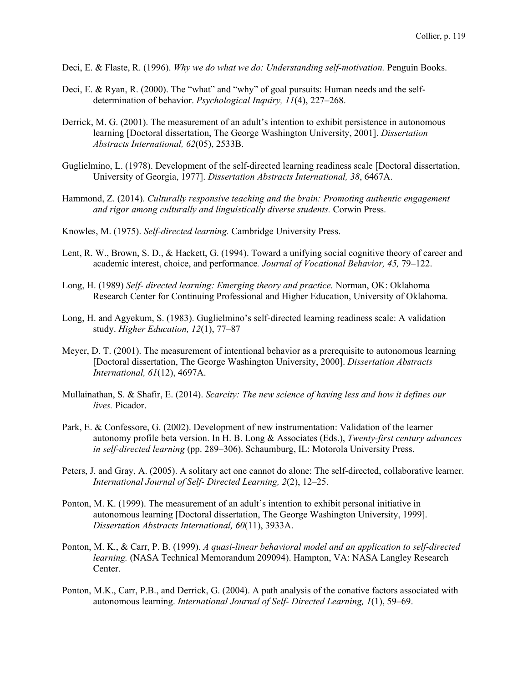- Deci, E. & Flaste, R. (1996). *Why we do what we do: Understanding self-motivation.* Penguin Books.
- Deci, E. & Ryan, R. (2000). The "what" and "why" of goal pursuits: Human needs and the selfdetermination of behavior. *Psychological Inquiry, 11*(4), 227–268.
- Derrick, M. G. (2001). The measurement of an adult's intention to exhibit persistence in autonomous learning [Doctoral dissertation, The George Washington University, 2001]. *Dissertation Abstracts International, 62*(05), 2533B.
- Guglielmino, L. (1978). Development of the self-directed learning readiness scale [Doctoral dissertation, University of Georgia, 1977]. *Dissertation Abstracts International, 38*, 6467A.
- Hammond, Z. (2014). *Culturally responsive teaching and the brain: Promoting authentic engagement and rigor among culturally and linguistically diverse students.* Corwin Press.
- Knowles, M. (1975). *Self-directed learning.* Cambridge University Press.
- Lent, R. W., Brown, S. D., & Hackett, G. (1994). Toward a unifying social cognitive theory of career and academic interest, choice, and performance*. Journal of Vocational Behavior, 45,* 79–122.
- Long, H. (1989) *Self- directed learning: Emerging theory and practice.* Norman, OK: Oklahoma Research Center for Continuing Professional and Higher Education, University of Oklahoma.
- Long, H. and Agyekum, S. (1983). Guglielmino's self-directed learning readiness scale: A validation study. *Higher Education, 12*(1), 77–87
- Meyer, D. T. (2001). The measurement of intentional behavior as a prerequisite to autonomous learning [Doctoral dissertation, The George Washington University, 2000]. *Dissertation Abstracts International, 61*(12), 4697A.
- Mullainathan, S. & Shafir, E. (2014). *Scarcity: The new science of having less and how it defines our lives.* Picador.
- Park, E. & Confessore, G. (2002). Development of new instrumentation: Validation of the learner autonomy profile beta version. In H. B. Long & Associates (Eds.), *Twenty-first century advances in self-directed learning* (pp. 289–306). Schaumburg, IL: Motorola University Press.
- Peters, J. and Gray, A. (2005). A solitary act one cannot do alone: The self-directed, collaborative learner. *International Journal of Self- Directed Learning, 2*(2), 12–25.
- Ponton, M. K. (1999). The measurement of an adult's intention to exhibit personal initiative in autonomous learning [Doctoral dissertation, The George Washington University, 1999]. *Dissertation Abstracts International, 60*(11), 3933A.
- Ponton, M. K., & Carr, P. B. (1999). *A quasi-linear behavioral model and an application to self-directed learning.* (NASA Technical Memorandum 209094). Hampton, VA: NASA Langley Research Center.
- Ponton, M.K., Carr, P.B., and Derrick, G. (2004). A path analysis of the conative factors associated with autonomous learning. *International Journal of Self- Directed Learning, 1*(1), 59–69.